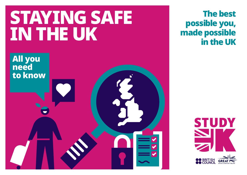# STAYING SAFE IN THE UK



 The best possible you, made possible in the UK

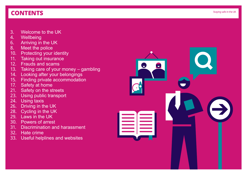### Staying safe in the UK CONTENTS

- 3. Welcome to the UK
- 4. Wellbeing<br>6. Arriving in
- 6. Arriving in the UK
- Meet the police
- 10. Protecting your identity
- 11. Taking out insurance
- 12. Frauds and scams
- 13. Taking care of your money gambling<br>14. Looking after your belongings
- 14. Looking after your belongings<br>15. Finding private accommodation
- **Finding private accommodation**
- 17. Safety at home<br>21. Safety on the st
- 21. Safety on the streets<br>23. Using public transpor
- 23. Using public transport<br>24. Using taxis
- 24. Using taxis<br>26. Driving in th
- 26. Driving in the UK<br>28. Cycling in the UK
- 28. Cycling in the UK<br>29. Laws in the UK
- 29. Laws in the UK<br>30. Powers of arres
- 30. Powers of arrest
- 31. Discrimination and harassment<br>32. Hate crime
- 32. Hate crime<br>33. Useful help
- Useful helplines and websites

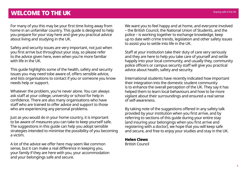For many of you this may be your first time living away from home in an unfamiliar country. This guide is designed to help you prepare for your stay here and give you practical advice about living and studying in the UK.

Safety and security issues are very important, not just when you first arrive but throughout your stay, so please refer to the advice given here, even when you're more familiar with life in the UK.

This guide highlights some of the health, safety and security issues you may need tobe aware of, offers sensible advice, and lists organisations to contact if you or someone you know needs help or support.

Whatever the problem, you're never alone. You can always ask staff at your college, university or school for help in confidence. There are also many organisations who have staff who are trained to offer advice and support to those who are experiencing any personal problems.

Just as you would do in your home country, it is important to be aware of measures you can take to keep yourself safe. The suggestions in this guide can help you adopt sensible strategies intended to minimise the possibility of you becoming a victim.

A lot of the advice we offer here may seem like common sense, but it can make a real difference in keeping you, your family if they are here with you, your accommodation and your belongings safe and secure.

We want you to feel happy and at home, and everyone involved – the British Council, the National Union of Students, and the police – is working together to exchange knowledge, keep up to date with crime trends, legislation and other safety issues to assist you to settle into life in the UK.

Staff at your institution take their duty of care very seriously and they are here to help you take care of yourself and settle happily into your local community, and usually they, community police officers or campus security staff will give you practical advice about health, safety and security.

International students have recently indicated how important their integration into the domestic student community is to enhance the overall perception of the UK. They say it has helped them to learn local behaviours and how to be more vigilant about their surroundings and ensured a real sense of self-awareness.

By taking note of the suggestions offered in any safety talk provided by your institution when you first arrive, and by referring to sections of this guide during your entire stay (and insuring your belongings when you first arrive and registering with a doctor), we hope that you will keep safe and secure, and free to enjoy your studies and stay in the UK.

#### Helen Clews

British Council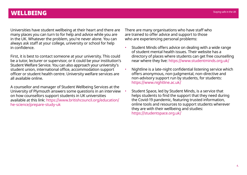### WELLBEING Staying safe in the UK and the UK and the UK and the UK and the UK and the UK and the UK and the UK

Universities have student wellbeing at their heart and there are many places you can turn to for help and advice while you are in the UK. Whatever the problem, you're never alone. You can always ask staff at your college, university or school for help in confidence.

First, it is best to contact someone at your university. This could be a tutor, lecturer or supervisor, or it could be your institution's Student Welfare Service. You can also approach your university's student union, international office, accommodation support officer or student health centre. University welfare services are all available online.

A counsellor and manager of Student Wellbeing Services at the University of Plymouth answers some questions in an interview on how counsellors support students in UK universities available at this link: [https://www.britishcouncil.org/education/](https://www.britishcouncil.org/education/he-science/prepare-study-uk) [he-science/prepare-study-uk](https://www.britishcouncil.org/education/he-science/prepare-study-uk)

There are many organisations who have staff who are trained to offer advice and support to those who are experiencing personal problems:

- Student Minds offers advice on dealing with a wide range of student mental health issues. Their website has a directory of places where students can get free counselling near where they live: <https://www.studentminds.org.uk/>
- Nightline is a late-night confidential listening service which offers anonymous, non-judgmental, non-directive and non-advisory support run by students, for students: <https://www.nightline.ac.uk/>
- Student Space, led by Student Minds, is a service that helps students to find the support that they need during the Covid-19 pandemic, featuring trusted information, online tools and resources to support students wherever they are with their wellbeing and studies: <https://studentspace.org.uk/>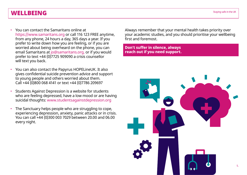### WELLBEING Staying safe in the UK

- You can contact the Samaritans online at https://www.samaritans.org or call 116 123 FREE anytime, from any phone, 24 hours a day, 365 days a year. If you prefer to write down how you are feeling, or if you are worried about being overheard on the phone, you can email Samaritans at jo@samaritans.org, or if you would prefer to text +44 (0)7725 909090 a crisis counsellor will text you back.
- You can also contact the Papyrus HOPELineUK. It also gives confidential suicide prevention advice and support to young people and others worried about them. Call +44 (0)800 068 4141 or text +44 (0)7786 209697
- Students Against Depression is a website for students who are feeling depressed, have a low mood or are having suicidal thoughts: [www.studentsagainstdepression.org](http://www.studentsagainstdepression.org)
- The Sanctuary helps people who are struggling to cope, experiencing depression, anxiety, panic attacks or in crisis. You can call +44 (0)300 003 7029 between 20.00 and 06.00 every night.

Always remember that your mental health takes priority over your academic studies, and you should prioritise your wellbeing first and foremost.

**Don't suffer in silence, always reach out if you need support.** 

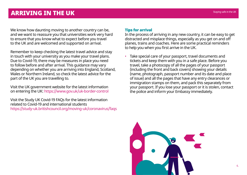We know how daunting moving to another country can be, and we want to reassure you that universities work very hard to ensure that you know what to expect before you travel to the UK and are welcomed and supported on arrival.

Remember to keep checking the latest travel advice and stay in touch with your university as you make your travel plans. Due to Covid-19, there may be measures in place you need to follow before and after arrival. This guidance may vary depending on whether you are arriving into England, Scotland, Wales or Northern Ireland, so check the latest advice for the part of the UK you are travelling to.

Visit the UK government website for the latest information on entering the UK:<https://www.gov.uk/uk-border-control>

Visit the Study UK Covid-19 FAQs for the latest information related to Covid-19 and international students <https://study-uk.britishcouncil.org/moving-uk/coronavirus/faqs>

#### Tips for arrival

In the process of arriving in any new country, it can be easy to get distracted and misplace things, especially as you get on and off planes, trains and coaches. Here are some practical reminders to help you when you first arrive in the UK.

• Take special care of your passport, travel documents and tickets and keep them with you in a safe place. Before you travel, take a photocopy of all the pages of your passport (including the front and back covers) showing your details (name, photograph, passport number and its date and place of issue) and all the pages that have any entry clearances or immigration stamps on them, and pack this separately from your passport. If you lose your passport or it is stolen, contact the police and inform your Embassy immediately.

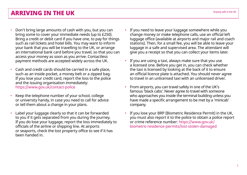### ARRIVING IN THE UK ARRIVING A REPORT OF A Staying safe in the UK

- Don't bring large amounts of cash with you, but you can bring some to cover your immediate needs (up to £250). Bring a credit or debit card if you have one, to pay for things such as rail tickets and hotel bills. You may want to inform your bank that you will be travelling to the UK, or arrange an international bank card before you travel, so that you can access your money as soon as you arrive. Contactless payment methods are accepted widely across the UK.
- Cash and credit cards should be carried in a safe place, such as an inside pocket, a money belt or a zipped bag. If you lose your credit card, report the loss to the police and the issuing organisation immediately: <https://www.gov.uk/contact-police>
- Keep the telephone number of your school, college or university handy, in case you need to call for advice or tell them about a change in your plans.
- Label your luggage clearly so that it can be forwarded to you if it gets separated from you during the journey. If you do lose your luggage, report the loss immediately to officials of the airline or shipping line. At airports or seaports, check the lost property office to see if it has been handed in.
- If you need to leave your luggage somewhere while you change money or make telephone calls, use an official left luggage office (available at airports and major rail and coach stations). Then, for a small fee, you will be able to leave your luggage in a safe and supervised area. The attendant will give you a receipt so that you can collect your items later.
- If you are using a taxi, always make sure that you use a licensed one. Before you get in, you can check whether the taxi is licensed by looking at the back of it to ensure an official licence plate is attached. You should never agree to travel in an unlicensed taxi with an unlicensed driver.
- From airports, you can travel safely in one of the UK's famous 'black cabs'. Never agree to travel with someone who approaches you inside the terminal building unless you have made a specific arrangement to be met by a 'minicab' company.
- If you lose your BRP (Biometric Residence Permit) in the UK, you must also report it to the police to obtain a police report or crime reference number: [https://www.gov.uk/](https://www.gov.uk/biometric-residence-permits/lost-stolen-damaged) [biometric-residence-permits/lost-stolen-damaged](https://www.gov.uk/biometric-residence-permits/lost-stolen-damaged)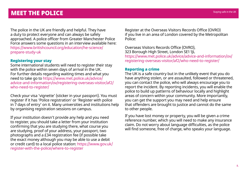The police in the UK are friendly and helpful. They have a duty to protect everyone and can always be safely approached. A police officer from Greater Manchester Police Force answers some questions in an interview available here: [https://www.britishcouncil.org/education/he-science/](https://www.britishcouncil.org/education/he-science/prepare-study-uk) [prepare-study-uk](https://www.britishcouncil.org/education/he-science/prepare-study-uk)

#### Registering your stay

Some international students will need to register their stay with the police within seven days of arrival in the UK. For further details regarding waiting times and what you need to take go to [https://www.met.police.uk/advice/](https://www.met.police.uk/advice/advice-and-information/ov/registering-overseas-visitor/af2/who-need-to-register/) [advice-and-information/ov/registering-overseas-visitor/af2/](https://www.met.police.uk/advice/advice-and-information/ov/registering-overseas-visitor/af2/who-need-to-register/) [who-need-to-register/](https://www.met.police.uk/advice/advice-and-information/ov/registering-overseas-visitor/af2/who-need-to-register/)

Check your visa 'vignette' (sticker in your passport). You must register if it has 'Police registration' or 'Register with police in 7 days of entry' on it. Many universities and institutions help by organising registration sessions on campus.

If your institution doesn't provide any help and you need to register, you should take a letter from your institution confirming that you are studying there, what course you are studying, proof of your address, your passport, two photographs and a £34 registration fee (if possible take the exact money although you may be able to use a debit or credit card) to a local police station: [https://www.gov.uk/](https://www.gov.uk/register-with-the-police/where-to-register) register-with-the-police/where-to-register

Register at the Overseas Visitors Records Office (OVRO) if you live in an area of London covered by the Metropolitan Police:

Overseas Visitors Records Office (OVRO), 323 Borough High Street, London SE1 1JL [https://www.met.police.uk/advice/advice-and-information/ov/](https://www.met.police.uk/advice/advice-and-information/ov/registering-overseas-visitor/af2/who-need-to-register/) [registering-overseas-visitor/af2/who-need-to-register/](https://www.met.police.uk/advice/advice-and-information/ov/registering-overseas-visitor/af2/who-need-to-register/)

#### Reporting a crime

The UK is a safe country but in the unlikely event that you do have anything stolen, or are assaulted, followed or threatened, you can contact the police, who will always encourage you to report the incident. By reporting incidents, you will enable the police to build up patterns of behaviour locally and highlight areas of concern within your community. More importantly, you can get the support you may need and help ensure that offenders are brought to justice and cannot do the same to other people.

If you have lost money or property, you will be given a crime reference number, which you will need to make any insurance claim. Do not worry about language difficulties, as the police will find someone, free of charge, who speaks your language.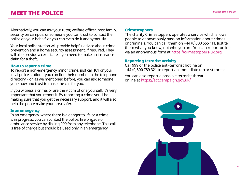Alternatively, you can ask your tutor, welfare officer, host family, security on campus, or someone you can trust to contact the police on your behalf, or you can even do it anonymously.

Your local police station will provide helpful advice about crime prevention and a home security assessment, if required. They will also provide a certificate if you need to make an insurance claim for a theft.

#### How to report a crime

To report a non-emergency minor crime, just call 101 or your local police station – you can find their number in the telephone directory – or, as we mentioned before, you can ask someone you know and trust to make the call for you.

If you witness a crime, or are the victim of one yourself, it's very important that you report it. By reporting a crime you'll be making sure that you get the necessary support, and it will also help the police make your area safer.

#### In an emergency

In an emergency, where there is a danger to life or a crime is in progress, you can contact the police, fire brigade or ambulance service by dialling 999 from any telephone. This call is free of charge but should be used only in an emergency.

#### **Crimestoppers**

The charity Crimestoppers operates a service which allows people to anonymously pass on information about crimes or criminals. You can call them on +44 (0)800 555 111. Just tell them what you know, not who you are. You can report online via an anonymous form at<https://crimestoppers-uk.org>

#### Reporting terrorist activity

Call 999 or the police anti-terrorist hotline on +44 (0)800 789 321 to report an immediate terrorist threat.

You can also report a possible terrorist threat online at<https://act.campaign.gov.uk/>

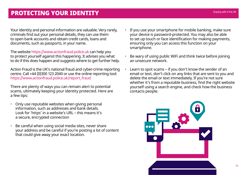Your identity and personal information are valuable. Very rarely, criminals find out your personal details, they can use them to open bank accounts and obtain credit cards, loans and documents, such as passports, in your name.

The website<https://www.actionfraud.police.uk>can help you to protect yourself against this happening. It advises you what to do if this does happen and suggests where to get further help.

Action Fraud is the UK's national fraud and cyber-crime reporting centre. Call +44 (0)300 123 2040 or use the online reporting tool: https://www.actionfraud.police.uk/report\_fraud

There are plenty of ways you can remain alert to potential scams, ultimately keeping your identity protected. Here are a few tips:

- Only use reputable websites when giving personal information, such as addresses and bank details. Look for 'https' in a website's URL – this means it's a secure, encrypted connection
- Be careful when using social media sites, never share your address and be careful if you're posting a lot of content that could give away your exact location.
- If you use your smartphone for mobile banking, make sure your device is password-protected. You may also be able to set up touch or face identification for making payments, ensuring only you can access this function on your smartphone.
- Be wary of using public WiFi and think twice before joining an unsecure network.
- Learn to spot scams if you don't know the sender of an email or text, don't click on any links that are sent to you and delete the email or text immediately. If you're not sure whether it's from a reputable business, find the right website yourself using a search engine, and check how the business contacts people.

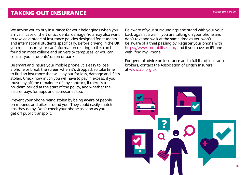We advise you to buy insurance for your belongings when you arrive in case of theft or accidental damage. You may also want to take advantage of insurance policies designed for students and international students specifically. Before driving in the UK, you must insure your car. Information relating to this can be found on most college and university campuses, or you can consult your students' union or bank.

Be smart and insure your mobile phone. It is easy to lose a phone or break the screen when it's dropped, so take time to find an insurance that will pay out for loss, damage and if it's stolen. Check how much you will have to pay in excess, if you must pay off the remainder of any contract, if there is a no-claim period at the start of the policy, and whether the insurer pays for apps and accessories too.

Prevent your phone being stolen by being aware of people on mopeds and bikes around you. They could easily snatch itas they go by. Don't check your phone as soon as you get off public transport.

Be aware of your surroundings and stand with your your back against a wall if you are talking on your phone and don't text and walk at the same time as you won't be aware of a thief passing by. Register your phone with <https://www.immobilise.com/>and if you have an iPhone with 'find my iPhone'.

For general advice on insurance and a full list of insurance brokers, contact the Association of British Insurers at [www.abi.org.uk](http://www.abi.org.uk)

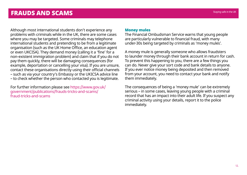Although most international students don't experience any problems with criminals while in the UK, there are some cases where you may be targeted. Some criminals may telephone international students and pretending to be from a legitimate organisation (such as the UK Home Office, an education agent or even UKCISA). They demand money (calling it a 'fine' for a non-existent immigration problem) and claim that if you do not pay them quickly, there will be damaging consequences (for example, deportation or cancelling your visa). If you are unsure, contact these organisations directly using their official channels – such as via your country's Embassy or the UKICSA advice line – to check whether the person who contacted you is legitimate.

For further information please see https://www.gov.uk/ government/publications/frauds-tricks-and-scams/ fraud-tricks-and-scams

#### Money mules

The Financial Ombudsman Service warns that young people are particularly vulnerable to financial fraud, with many under-30s being targeted by criminals as 'money mules'.

A money mule is generally someone who allows fraudsters to launder money through their bank account in return for cash. To prevent this happening to you, there are a few things you can do. Never give your sort code and bank details to anyone. If you ever notice money being deposited and then removed from your account, you need to contact your bank and notify them immediately.

The consequences of being a 'money mule' can be extremely serious – in some cases, leaving young people with a criminal record that has an impact into their adult life. If you suspect any criminal activity using your details, report it to the police immediately.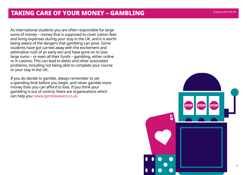### **TAKING CARE OF YOUR MONEY – GAMBLING** Staying safe in the UK

As international students you are often responsible for large sums of money – money that is supposed to cover tuition fees and living expenses during your stay in the UK, and it is worth being aware of the dangers that gambling can pose. Some students have got carried away with the excitement and adrenaline rush of an early win and have gone on to lose large sums – or even all their funds – gambling, either online or in casinos. This can lead to debts and other associated problems, including not being able to complete your course or your stay in the UK.

If you do decide to gamble, always remember to set a spending limit before you begin, and never gamble more money than you can afford to lose. If you think your gambling is out of control, there are organisations which can help you: [www.gambleaware.co.uk](http://www.gambleaware.co.uk)

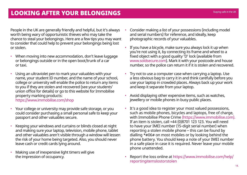People in the UK are generally friendly and helpful, but it's always worth being wary of opportunistic thieves who may take the chance to steal your belongings. Here are a few tips you may want to consider that could help to prevent your belongings being lost or stolen.

- When moving into new accommodation, don't leave luggage or belongings outside or in the open boot/trunk of a car or taxi.
- Using an ultraviolet pen to mark your valuables with your name, your student ID number, and the name of your school, college or university will enable the police to return any items to you if they are stolen and recovered (see your students' union office for details) or go to this website for Immobilise property marking products: <https://www.immobilise.com/shop>
- Your college or university may provide safe storage, or you could consider purchasing a small personal safe to keep your passport and other valuables secure.
- Keeping your windows and curtains or blinds closed at night and making sure your laptop, television, mobile phone, tablet and other valuables aren't visible through a window will lessen the risk of your home being targeted. Also, you should never leave cash or credit cards lying around.
- Making use of inexpensive light timers will give the impression of occupancy.
- Consider making a list of your possessions (including model and serial numbers) for reference, and ideally, keep photographic records of your valuables.
- If you have a bicycle, make sure you always lock it up when you're not using it, by connecting its frame and wheel to a fixed object with a good quality 'D' lock (available from [www.soldsecure.com](http://www.soldsecure.com)). Mark it with your postcode and house number, so the police can return it if it is stolen and recovered.
- Try not to use a computer case when carrying a laptop. Use a less obvious bag to carry it in and think carefully before you use your laptop in crowded places. Always back up your work and keep it separate from your laptop.
- Avoid displaying other expensive items, such as watches, jewellery or mobile phones in busy public places.
- It's a good idea to register your most valued possessions, such as mobile phones, bicycles and laptops, free of charge, with Immobilise Phone Crime (<https://www.immobilise.com>). If an item is stolen, call +44 (0)8701 123 123. You will need to have your IMEI number (15-digit serial number) when reporting a stolen mobile phone – this can be found by dialling \*#06# on most mobiles or by looking behind the phone battery. You should keep a note of your IMEI number in a safe place in case it is required. Never leave your mobile phone unattended.
- Report the loss online at [https://www.immobilise.com/help/](https://www.immobilise.com/help/reportingitemslostorstolen) [reportingitemslostorstolen](https://www.immobilise.com/help/reportingitemslostorstolen)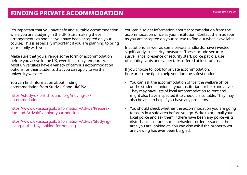It's important that you have safe and suitable accommodation while you are studying in the UK. Start making these arrangements as soon as you have been accepted on your course. This is especially important if you are planning to bring your family with you.

Make sure that you arrange some form of accommodation before you arrive in the UK, even if it is only temporary. Most universities have a variety of campus accommodation options for their students that you can apply to via the university website.

You can find information about finding accommodation from Study UK and UKCISA:

[https://study-uk.britishcouncil.org/moving-uk/](https://study-uk.britishcouncil.org/moving-uk/accommodation) [accommodation](https://study-uk.britishcouncil.org/moving-uk/accommodation)

[https://www.ukcisa.org.uk/Information--Advice/Prepara](https://www.ukcisa.org.uk/Information--Advice/Preparation-and-Arrival/Planning-your-housing)[tion-and-Arrival/Planning-your-housing](https://www.ukcisa.org.uk/Information--Advice/Preparation-and-Arrival/Planning-your-housing)

[https://www.ukcisa.org.uk/Information--Advice/Studying-](https://www.ukcisa.org.uk/Information--Advice/Studying--living-in-the-UK/Looking-for-housing) [-living-in-the-UK/Looking-for-housing](https://www.ukcisa.org.uk/Information--Advice/Studying--living-in-the-UK/Looking-for-housing)

You can also get information about accommodation from the accommodation office at your institution. Contact them as soon as you are accepted on your course to find out what is available.

Institutions, as well as some private landlords, have invested significantly in security measures. These include security surveillance, presence of security staff, police patrols, use of identity cards and safety talks offered at institutions.

If you choose to look for private accommodation, here are some tips to help you find the safest option:

- You can ask the accommodation office, the welfare office or the students' union at your institution for help and advice. They may have lists of local accommodation to rent and might also have inspected it to check it is suitable. They may also be able to help if you have any problems.
- You should check whether the accommodation you are going to see is in a safe area before you go. Write to or email your local police and ask them if there have been any police visits, disturbances or anti-social behaviour orders issued in the area you are looking at. You can also ask if the property you are viewing has ever been burgled.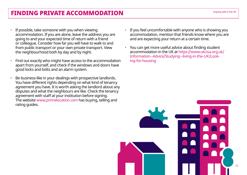## **FINDING PRIVATE ACCOMMODATION** Staying safe in the UK

- If possible, take someone with you when viewing accommodation. If you are alone, leave the address you are going to and your expected time of return with a friend or colleague. Consider how far you will have to walk to and from public transport or your own private transport. View the neighbourhood both by day and by night.
- Find out exactly who might have access to the accommodation apart from yourself, and check if the windows and doors have good locks and bolts and an alarm system.
- Be business-like in your dealings with prospective landlords. You have different rights depending on what kind of tenancy agreement you have. It is worth asking the landlord about any disputes and what the neighbours are like. Check the tenancy agreement with staff at your institution before signing. The website www.primelocation.com has buying, selling and rating guides.
- If you feel uncomfortable with anyone who is showing you accommodation, mention that friends know where you are and are expecting your return at a certain time.
- You can get more useful advice about finding student accommodation in the UK at [https://www.ukcisa.org.uk/](https://www.ukcisa.org.uk/Information--Advice/Studying--living-in-the-UK/Looking-for-housing) [Information--Advice/Studying--living-in-the-UK/Look](https://www.ukcisa.org.uk/Information--Advice/Studying--living-in-the-UK/Looking-for-housing)[ing-for-housing](https://www.ukcisa.org.uk/Information--Advice/Studying--living-in-the-UK/Looking-for-housing)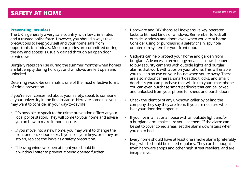#### Preventing intruders

The UK is generally a very safe country, with low crime rates and a trusted police force. However, you should always take precautions to keep yourself and your home safe from opportunistic criminals. Most burglaries are committed during the day and access is usually gained through an open door or window.

Burglary rates can rise during the summer months when homes are left empty during holidays and windows are left open and unlocked.

Deterring would-be criminals is one of the most effective forms of crime prevention.

If you're ever concerned about your safety, speak to someone at your university in the first instance. Here are some tips you may want to consider in your day-to-day life.

- It's possible to speak to the crime prevention officer at your local police station. They will come to your home and advise you on how to make it more secure.
- If you move into a new home, you may want to change the front and back door locks. If you lose your keys, or if they are stolen, replace the locks as a safety precaution.
- If leaving windows open at night you should fit a window limiter to prevent it being opened further.
- Hardware and DIY shops sell inexpensive key-operated locks to fit most kinds of windows. Remember to lock all outside windows and doors even when you are at home. Consider using or purchasing a safety chain, spy hole or intercom system for your front door.
- Gadgets can help protect your home and garden from burglars. Advances in technology mean it is now cheaper to buy security cameras with outside lights and burglar alarms that work with apps on your phone. This will enable you to keep an eye on your house when you're away. There are also indoor cameras, smart deadbolt locks, and smart doorbells you can purchase that will link to your smartphone. You can even purchase smart padlocks that can be locked and unlocked from your phone for sheds and porch doors.
- Check the identity of any unknown caller by calling the company they say they are from. If you are not sure who is at your door don't open it.
- If you live in a flat or a house with an outside light and/or a burglar alarm, make sure you use them. If the alarm can be set to cover zoned areas, set the alarm downstairs when you go to bed.
- Every home should have at least one smoke alarm (preferably two), which should be tested regularly. They can be bought from hardware shops and other high street retailers, and are inexpensive.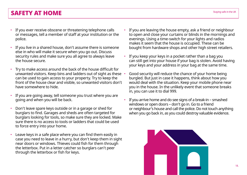### SAFETY AT HOME Staying safe in the UK

- If you ever receive obscene or threatening telephone calls or messages, tell a member of staff at your institution or the police.
- If you live in a shared house, don't assume there is someone else in who will make it secure when you go out. Discuss security rules and make sure you all agree to always leave the house secure.
- Try to make access around the back of the house difficult for unwanted visitors. Keep bins and ladders out of sight as these can be used to gain access to your property. Try to keep the front of the house clear and visible, so unwanted visitors don't have somewhere to hide.
- If you are going away, tell someone you trust where you are going and when you will be back.
- Don't leave spare keys outside or in a garage or shed for burglars to find. Garages and sheds are often targeted for burglars looking for tools, so make sure they are locked. Make sure there is no access to tools or ladders that could be used to force entry into your home.
- Leave keys in a safe place where you can find them easily in case you need to leave in a hurry, but don't keep them in sight near doors or windows. Thieves could fish for them through the letterbox. Put in a letter catcher so burglars can't peer through the letterbox or fish for keys.
- If you are leaving the house empty, ask a friend or neighbour to open and close your curtains or blinds in the mornings and evenings. Using a time-switch for your lights and radios makes it seem that the house is occupied. These can be bought from hardware shops and other high street retailers.
- If you keep your keys in a pocket rather than a bag you can still get into your house if your bag is stolen. Avoid having your keys and your address in your bag at the same time.
- Good security will reduce the chance of your home being burgled. But just in case it happens, think about how you would deal with the situation. Keep your mobile phone near you in the house. In the unlikely event that someone breaks in, you can use it to dial 999.
- If you arrive home and do see signs of a break-in smashed windows or open doors – don't go in. Go to a friend or neighbour's house and call the police. Do not touch anything when you go back in, as you could destroy valuable evidence.

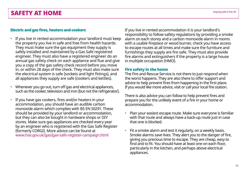### SAFETY AT HOME Staying safe in the UK

#### Electric and gas fires, heaters and cookers

- If you live in rented accommodation your landlord must keep the property you live in safe and free from health hazards. They must make sure the gas equipment they supply is safely installed and maintained by a Gas Safe registered engineer. They must also have a registered engineer do an annual gas safety check on each appliance and flue and give you a copy of the gas safety check record before you move in, or within 28 days of the check. They must also make sure the electrical system is safe (sockets and light fittings), and all appliances they supply are safe (cookers and kettles).
- Whenever you go out, turn off gas and electrical appliances, such as the cooker, television and iron (but not the refrigerator).
- If you have gas cookers, fires and/or heaters in your accommodation, you should have an audible carbon monoxide alarm which complies with BS EN 50291. These should be provided by your landlord or accommodation, but they can also be bought in hardware shops or DIY stores. Make sure gas appliances are checked every year by an engineer who is registered with the Gas Safe Register (formerly CORGI). More advice can be found at [www.hse.gov.uk/gas/gas-safe-register-campaign.htm](http://www.hse.gov.uk/gas/gas-safe-register-campaign.htm)l

If you live in rented accommodation it is your landlord's responsibility to follow safety regulations by providing a smoke alarm on each storey and a carbon monoxide alarm in rooms with a usable fireplace or wood burner, check you have access to escape routes at all times and make sure the furniture and furnishings they supply are fire safe. They must also provide fire alarms and extinguishers if the property is a large house in multiple occupation (HMO).

#### Fire safety in the home

The Fire and Rescue Service is not there to just respond when the worst happens. They are also there to offer support and advice to help prevent fires from happening in the first place. If you would like more advice, visit or call your local fire station.

There is also advice you can follow to help prevent fires and prepare you for the unlikely event of a fire in your home or accommodation.

- Plan your easiest escape route. Make sure everyone is familiar with that route and always have a back-up route just in case that one is blocked.
- Fit a smoke alarm and test it regularly, on a weekly basis. Smoke alarms save lives. They alert you to the danger of fire, giving you precious time to escape. They are cheap, easy to find and to fit. You should have at least one on each floor, particularly in the kitchen, and perhaps above electrical appliances.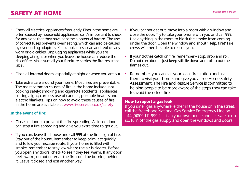### SAFETY AT HOME Staying safe in the UK

- Check all electrical appliances frequently. Fires in the home are often caused by household appliances, so it's important to check for any signs that they have become a potential hazard. The use of correct fuses prevents overheating, which can also be caused by overloading adaptors. Keep appliances clean and replace any worn or old cables. Unplugging appliances while you are sleeping at night or when you leave the house can reduce the risk of fire. Make sure all your furniture carries the fire-resistant label.
- Close all internal doors, especially at night or when you are out.
- Take extra care around your home. Most fires are preventable. The most common causes of fire in the home include: not cooking safely; smoking and cigarette accidents; appliances setting alight; careless use of candles, portable heaters and electric blankets. Tips on how to avoid these causes of fire in the home are available at [www.fireservice.co.uk/safety](https://www.fireservice.co.uk/safety)

### **In the event of fire:**

- Close all doors to prevent the fire spreading. A closed door can stop a fire spreading and give you extra time to get out.
- If you can, leave the house and call 999 at the first sign of fire. Stay out of the house. Remember to keep calm, act quickly and follow your escape route. If your home is filled with smoke, remember to stay low where the air is clearer. Before you open any doors, check to seeif they feel warm. If any door feels warm, do not enter as the fire could be burning behind it. Leave it closed and exit another way.
- If you cannot get out, move into a room with a window and close the door. Try to take your phone with you and call 999. Use anything in the room to block the smoke from coming under the door. Open the window and shout 'Help, fire!' Fire crews will then be able to rescue you.
- If your clothes catch on fire, remember stop, drop and roll. Do not run about – just keep still, lie down and roll to put the flames out.
- Remember, you can call your local fire station and ask them to visit your home and give you a free Home Safety Assessment. The Fire and Rescue Service is committed to helping people to be more aware of the steps they can take to avoid the risk of fire.

#### **How to report a gas leak**

If you smell gas anywhere, either in the house or in the street, call the freephone National Gas Service Emergency Line on +44 (0)800 111 999. If it is in your own house and it is safe to do so, turn off the gas supply and open the windows and doors.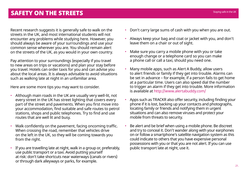Recent research suggests it is generally safe to walk on the streets in the UK, and most international students will not encounter any problems while studying here. However, you should always be aware of your surroundings and use your common sense wherever you are. You should remain alert on the streets of the UK, as you would in your own country.

Pay attention to your surroundings (especially if you travel to new areas on trips or vacations) and plan your stay before you travel. Hotels can order taxis for you and can advise you about the local areas. It is always advisable to avoid situations such as walking late at night in an unfamiliar area.

Here are some more tips you may want to consider.

- Although main roads in the UK are usually very well-lit, not every street in the UK has street lighting that covers every part of the street and pavements. When you first move into your accommodation, find suitable and safe routes to petrol stations, shops and public telephones. Try to find and use routes that are well lit and busy.
- Walk confidently on the pavement, facing oncoming traffic. When crossing the road, remember that vehicles drive on the left in the UK, so they will be coming towards you from the right.
- If you are travelling late at night, walk in a group or, preferably, use public transport or a taxi. Avoid putting yourself at risk: don't take shortcuts near waterways (canals or rivers) or through dark alleyways or parks, for example.
- Don't carry large sums of cash with you when you are out.
- Always keep your bag and coat or jacket with you, and don't leave them on a chair or out of sight.
- Make sure you carry a mobile phone with you or take enough change or a telephone card so you can make a phone call or call a taxi, should you need one.
- Many mobile apps, such as Alert A Buddy, allow users to alert friends or family if they get into trouble. Alarms can be set in advance – for example, if a person fails to get home at a particular time. Users can also speed dial the number to trigger an alarm if they get into trouble. More information is available at <http://www.alertabuddy.com/>
- Apps such as TRACKR also offer security, including finding your phone if it is lost, backing up your contacts and photographs, locating family or friends and notifying them in urgent situations and can also remove viruses and protect your mobile from threats to security.
- Be alert and be brief when using a mobile phone. Be discreet and try to conceal it. Don't wander along with your earphones on or follow a smartphone's satellite navigation system as this could indicate to others that you have expensive personal possessions with you or that you are not alert. If you can use public transport late at night, use it.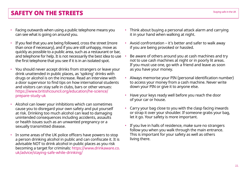$22.$ 

### SAFETY ON THE STREETS Staying safe in the UK

- Facing outwards when using a public telephone means you can see what is going on around you.
- If you feel that you are being followed, cross the street (more than once if necessary), and if you are still unhappy, move as quickly as possible to a public area, such as a restaurant or bar, and telephone for help. It is not necessarily the best idea to use the first telephone that you see if it is in an isolated spot.
- You should never accept drinks from strangers or leave your drink unattended in public places, as 'spiking' drinks with drugs or alcohol is on the increase. Read an interview with a door supervisor to find tips on how international students and visitors can stay safe in clubs, bars or other venues: [https://www.britishcouncil.org/education/he-science/](https://www.britishcouncil.org/education/he-science/prepare-study-uk) [prepare-study-uk](https://www.britishcouncil.org/education/he-science/prepare-study-uk)
- Alcohol can lower your inhibitions which can sometimes cause you to disregard your own safety and put yourself at risk. Drinking too much alcohol can lead to damaging unintended consequences including accidents, assaults or health issues such as an unwanted pregnancy or a sexually transmitted disease.
- In some areas of the UK police officers have powers to stop a person drinking alcohol in public and can confiscate it. It is advisable NOT to drink alcohol in public places as you risk becoming a target for criminals: [https://www.drinkaware.co.](https://www.drinkaware.co.uk/advice/staying-safe-while-drinking/) [uk/advice/staying-safe-while-drinking/](https://www.drinkaware.co.uk/advice/staying-safe-while-drinking/)
- Think about buying a personal attack alarm and carrying it in your hand when walking at night.
- Avoid confrontation it's better and safer to walk away if you are being provoked or hassled.
- Be aware of others around you at cash machines and try not to use cash machines at night or in poorly lit areas. If you must use one, go with a friend and leave as soon as you have your money.
- Always memorise your PIN (personal identification number) to access your money from a cash machine. Never write down your PIN or give it to anyone else.
- Have your keys ready well before you reach the door of your car or house.
- Carry your bag close to you with the clasp facing inwards or strap it over your shoulder. If someone grabs your bag, let it go. Your safety is more important.
- If you live in halls of residence, make sure no strangers follow you when you walk through the main entrance. This is important for your safety as well as others living there.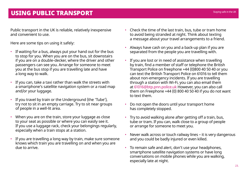### **USING PUBLIC TRANSPORT**

Public transport in the UK is reliable, relatively inexpensive and convenient to use.

Here are some tips on using it safely:

- If waiting for a bus, always put your hand out for the bus to stop for you. When you are on the bus, sit downstairs if you are on a double-decker, where the driver and other passengers can see you. Arrange for someone to meet you at the bus stop if you are travelling late and have a long way to walk.
- If you can, take a taxi rather than walk the streets with a smartphone's satellite navigation system or a road map and/or your luggage.
- If you travel by train or the Underground (the 'Tube'), try not to sit in an empty carriage. Try to sit near groups of people in a well-lit area.
- When you are on the train, store your luggage as close to your seat as possible or where you can easily see it. If you use a luggage rack, check your belongings regularly, especially when a train stops at a station.
- If you are travelling a long way by train, make sure someone knows which train you are travelling on and when you are due to arrive.
- Check the time of the last train, bus, tube or tram home to avoid being stranded at night. Think about texting a message about your travel arrangements to a friend.
- Always have cash on you and a back-up plan if you are separated from the people you are travelling with.
- If you are lost or in need of assistance when travelling by train, find a member of staff or telephone the British Transport Police on freephone +44 (0)800 40 50 40 or you can text the British Transport Police on 61016 to tell them about non-emergency incidents. If you are travelling through a station with Wi-Fi, you can also email them at [61016@btp.pnn.police.uk](mailto:61016@btp.pnn.police.uk) However, you can also call them on Freephone +44 (0) 800 40 50 40 if you do not want to text them.
- Do not open the doors until your transport home has completely stopped.
- Try to avoid walking alone after getting off a train, bus, tube or tram. If you can, walk close to a group of people or arrange for someone to meet you.
- Never walk across or touch railway lines it is very dangerous and you could be badly injured or even killed.
- To remain safe and alert, don't use your headphones, smartphone satellite navigation systems or have long conversations on mobile phones while you are walking, especially late at night.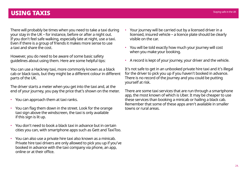### **USING TAXIS** Staying safe in the UK

There will probably be times when you need to take a taxi during your stay in the UK – for instance, before or after a night out. If you don't feel safe walking, especially late at night, use a taxi. Even if there is a group of friends it makes more sense to use a taxi and share the cost.

However, you do need to be aware of some basic safety guidelines about using them. Here are some helpful tips:

You can use a Hackney taxi, more commonly known as a black cab or black taxis, but they might be a different colour in different parts of the UK.

The driver starts a meter when you get into the taxi and, at the end of your journey, you pay the price that's shown on the meter.

- You can approach them at taxi ranks.
- You can flag them down in the street. Look for the orange taxi sign above the windscreen, the taxi is only available if this sign is lit up.
- You don't need to book a black taxi in advance but in certain cities you can, with smartphone apps such as Gett and TaxiToo.
- You can also use a private hire taxi also known as a minicab. Private hire taxi drivers are only allowed to pick you up if you've booked in advance with the taxi company via phone, an app, online or at their office.
- Your journey will be carried out by a licensed driver in a licensed, insured vehicle – a licence plate should be clearly visible on the car.
- You will be told exactly how much your journey will cost when you make your booking.
- A record is kept of your journey, your driver and the vehicle.

It's not safe to get in an unbooked private hire taxi and it's illegal for the driver to pick you up if you haven't booked in advance. There is no record of the journey and you could be putting yourself at risk.

There are some taxi services that are run through a smartphone app, the most known of which is Uber. It may be cheaper to use these services than booking a minicab or hailing a black cab. Remember that some of these apps aren't available in smaller towns or rural areas.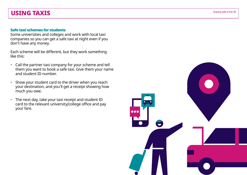#### Safe taxi schemes for students

Some universities and colleges and work with local taxi companies so you can get a safe taxi at night even if you don't have any money.

Each scheme will be different, but they work something like this:

- Call the partner taxi company for your scheme and tell them you want to book a safe taxi. Give them your name and student ID number.
- Show your student card to the driver when you reach your destination, and you'll get a receipt showing how much you owe.
- The next day, take your taxi receipt and student ID card to the relevant university/college office and pay your fare.

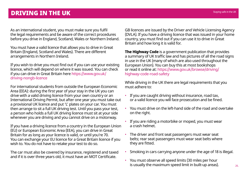As an international student, you must make sure you fulfil the legal requirements and be aware of the correct procedures before you drive in England, Scotland, Wales or Northern Ireland.

You must have a valid licence that allows you to drive in Great Britain (England, Scotland and Wales). There are different arrangements in Northern Ireland.

If you wish to drive you must find out if you can use your existing licence, which will depend on where it was issued. You can check if you can drive in Great Britain here [https://www.gov.uk/](https://www.gov.uk/driving-nongb-licence  ) [driving-nongb-licence](https://www.gov.uk/driving-nongb-licence  )

For international students from outside the European Economic Area (EEA): during the first year of your stay in the UK you can drive with a valid driving licence from your own country or an International Driving Permit, but after one year you must take out a provisional UK licence and put 'L' plates on your car. You must then arrange to sit a full UK driving test. Until you pass your test, a person who holds a full UK driving licence must sit at your side whenever you are driving and you cannot drive on a motorway.

If you have a driving licence from a country in the European Union (EU) or European Economic Area (EEA), you can drive in Great Britain for as long as your licence is valid, or until you're 70. You can exchange your EU licence for a Great Britain licence if you wish to. You do not have to retake your test to do so.

The car must also be covered by insurance, registered and taxed and if it is over three years old, it must have an MOT Certificate.

GB licences are issued by the Driver and Vehicle Licensing Agency (DVLA). If you have a driving licence that was issued in your home country, you must find out if you can use it to drive in Great Britain and how long it is valid for.

**The Highway Code** is a government publication that provides a summary of UK traffic law and has pictures of all the road signs in use in the UK (many of which are also used throughout the European Union). You can buy this at most bookshops or read it online at: [https://www.gov.uk/browse/driving/](https://www.gov.uk/browse/driving/highway-code-road-safety) [highway-code-road-safety](https://www.gov.uk/browse/driving/highway-code-road-safety)

While driving in the UK there are legal requirements that you must adhere to:

- If you are caught driving without insurance, road tax, or a valid licence you will face prosecution and be fined.
- You must drive on the left-hand side of the road and overtake on the right.
- If you are riding a motorbike or moped, you must wear a crash helmet.
- The driver and front seat passengers must wear seat belts; rear seat passengers must wear seat belts where they are fitted.
- Smoking in cars carrying anyone under the age of 18 is illegal.
- You must observe all speed limits (30 miles per hour is usually the maximum speed limit in built-up areas).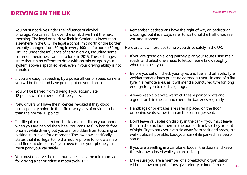- You must not drive under the influence of alcohol or drugs. You can still be over the drink drive limit the next morning. The legal drink-drive limit in Scotland is lower than elsewhere in the UK. The legal alcohol limit north of the border recently changed from 80mg in every 100ml of blood to 50mg. Driving under the influence of certain drugs, including some common medicines, came into force in 2015. These changes state that it is an offence to drive with certain drugs in your system above a specified level, even if your driving ability is not impaired.
- If you are caught speeding by a police officer or speed camera you will be fined and have points put on your licence.
- You will be barred from driving if you accumulate 12 points within a period of three years.
- New drivers will have their licences revoked if they clock up six penalty points in their first two years of driving, rather than the normal 12 points.
- It is illegal to read a text or check social media on your phone when you are behind the wheel. You can use fully hands-free phones while driving but you are forbidden from touching or picking it up, even for a moment. The law now specifically states that it is illegal to hold a mobile phone to follow a map and find out directions. If you need to use your phone you must park your car safely
- You must observe the minimum age limits; the minimum age for driving a car or riding a motorcycle is 17.

• Remember, pedestrians have the right of way on pedestrian crossings, but it is always safer to wait until the traffic has seen you and stopped.

Here are a few more tips to help you drive safely in the UK:

- If you are going on a long journey, plan your route using main roads, and telephone ahead to let someone know roughly when to expect you.
- Before you set off, check your tyres and fuel and oil levels. Tyre weld/automatic latex puncture aerosol is useful in case of a flat tyre in a remote area, as it will mend a punctured tyre for long enough for you to reach a garage.
- Always keep a blanket, warm clothes, a pair of boots and a good torch in the car and check the batteries regularly.
- Handbags or briefcases are safer if placed on the floor or behind seats rather than on the passenger seat.
- Don't leave valuables on display in the car if you must leave them in the car, lock them in the boot or trunk so they are out of sight. Try to park your vehicle away from secluded areas, in a well-lit place if possible. Lock your car while parked in a petrol station.
- If you are travelling in a car alone, lock all the doors and keep the windows closed while you are driving.
- Make sure you are a member of a breakdown organisation. All breakdown organisations give priority to lone females.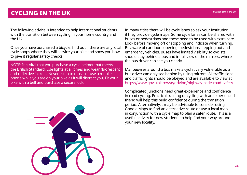The following advice is intended to help international students with the transition between cycling in your home country and the UK.

Once you have purchased a bicycle, find out if there are any local cycle shops where they will service your bike and show you how to give it regular safety checks.

NOTE: It is vital that you purchase a cycle helmet that meets the British Standard. Use lights at all times and wear fluorescent and reflective jackets. Never listen to music or use a mobile phone while you are on your bike as it will distract you. Fit your bike with a bell and purchase a secure lock.



In many cities there will be cycle lanes so ask your institution if they provide cycle maps. Some cycle lanes can be shared with buses or pedestrians and these need to be used with extra care. Look before moving off or stopping and indicate when turning. Be aware of car doors opening, pedestrians stepping out and emergency vehicles. Buses have limited visibility so cyclists should stay behind a bus and in full view of the mirrors, where the bus driver can see you clearly.

Manoeuvres around a bus make a cyclist very vulnerable as a bus driver can only see behind by using mirrors. All traffic signs and traffic lights should be obeyed and are available to view at <https://www.gov.uk/browse/driving/highway-code-road-safety>

Complicated junctions need great experience and confidence in road cycling. Practical training or cycling with an experienced friend will help this build confidence during the transition period. Alternatively,it may be advisable to consider using Google Maps to find an alternative route or use a local map in conjunction with a cycle map to plan a safer route. This is a useful activity for new students to help find your way around your new locality.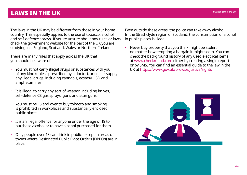### LAWS IN THE UK AND LOCAL TEAMS IN THE UK Staying safe in the UK

The laws in the UK may be different from those in your home country. This especially applies to the use of tobacco, alcohol and self-defence sprays. If you're unsure about any rules or laws, check the government website for the part of the UK you are studying in – England, Scotland, Wales or Northern Ireland.

There are many rules that apply across the UK that you should be aware of:

- You must not carry illegal drugs or substances with you of any kind (unless prescribed by a doctor), or use or supply any illegal drugs, including cannabis, ecstasy, LSD and amphetamines.
- It is illegal to carry any sort of weapon including knives, self-defence CS gas sprays, guns and stun guns.
- You must be 18 and over to buy tobacco and smoking is prohibited in workplaces and substantially enclosed public places.
- It is an illegal offence for anyone under the age of 18 to purchase alcohol or to have alcohol purchased for them.
- Only people over 18 can drink in public, except in areas of towns where Designated Public Place Orders (DPPOs) are in place.

Even outside these areas, the police can take away alcohol. In the Strathclyde region of Scotland, the consumption of alcohol in public places is illegal.

• Never buy property that you think might be stolen, no matter how tempting a bargain it might seem. You can check the background history of any used electrical items at www.checkmend.com either by creating a single report or by SMS. You can find an essential guide to the law in the UK at <https://www.gov.uk/browse/justice/rights>

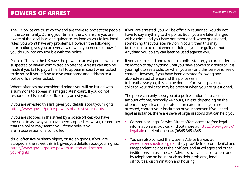The UK police are trustworthy and are there to protect the people in the community. During your time in the UK, ensure you are aware of the local laws and guidance. As long as you follow local rules, you won't have any problems. However, the following information gives you an overview of what you need to know if you do run into any trouble with the police.

Police officers in the UK have the power to arrest people who are suspected of having committed an offence. Arrests can also be made if you fail to pay a fine, fail to appear in court when asked to do so, or if you refuse to give your name and address to a police officer when asked.

Where offences are considered minor, you will be issued with a summons to appear in a magistrates' court. If you do not respond to this a police officer may arrest you.

If you are arrested this link gives you details about your rights: <https://www.gov.uk/police-powers-of-arrest-your-rights>

If you are stopped in the street by a police officer, you have the right to ask why you have been stopped. However, remember that the police may search you if they believe you are in possession of a controlled

drug, offensive or sharp object, or stolen goods. If you are stopped in the street this link gives you details about your rights: [https://www.gov.uk/police-powers-to-stop-and-search](https://www.gov.uk/police-powers-to-stop-and-search-your-rights)[your-rights](https://www.gov.uk/police-powers-to-stop-and-search-your-rights)

If you are arrested, you will be officially cautioned. You do not have to say anything to the police. But if you are later charged with a crime and you have not mentioned, when questioned, something that you later rely on in court, then this may be taken into account when deciding if you are guilty or not. Anything you do say can later be used against you.

If you are arrested and taken to a police station, you are under no obligation to say anything until you have spoken to a solicitor. It is your right to see a solicitor when you ask and this service is free of charge. However, if you have been arrested following any alcohol-related offence and the police wish to breathalyse you, this can be done before you speak to a solicitor. Your solicitor may be present when you are questioned.

The police can only keep you at a police station for a certain amount of time, normally 24 hours, unless, depending on the offence, they ask a magistrate for an extension. If you are arrested, contact your institution or your sponsor. If you need legal assistance, there are several organisations that can help you:

- Community Legal Service Direct offers access to free legal information and advice. Find out more at [https://www.gov.uk/](https://www.gov.uk/legal-aid) [legal-aid](https://www.gov.uk/legal-aid) or telephone +44 (0)845 345 4345.
- You can also contact the Citizens Advice Bureau at [www.citizensadvice.org.uk](http://www.citizensadvice.org.uk) – they provide free, confidential and independent advice in their offices, and at colleges and other institutions across the UK. Advice is available face-to-face and by telephone on issues such as debt problems, legal difficulties, discrimination and housing.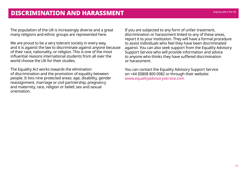The population of the UK is increasingly diverse and a great many religions and ethnic groups are represented here.

We are proud to be a very tolerant society in every way, and it is against the law to discriminate against anyone because of their race, nationality, or religion. This is one of the most influential reasons international students from all over the world choose the UK for their studies.

The Equality Act works towards the elimination of discrimination and the promotion of equality between people. It lists nine protected areas: age, disability, gender reassignment, marriage or civil partnership, pregnancy and maternity, race, religion or belief, sex and sexual orientation.

If you are subjected to any form of unfair treatment, discrimination or harassment linked to any of these areas, report it to your institution. They will have a formal procedure to assist individuals who feel they have been discriminated against. You can also seek support from the Equality Advisory Support Service who will provide information and advice to anyone who thinks they have suffered discrimination or harassment.

You can contact the Equality Advisory Support Service on +44 (0)808 800 0082 or through their website: [www.equalityadvisoryservice.com](http://www.equalityadvisoryservice.com)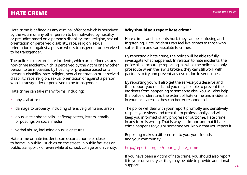Hate crime is defined as any criminal offence which is perceived by the victim or any other person to be motivated by hostility or prejudice based on a person's disability, race, religion, sexual orientation or perceived disability, race, religion, sexual orientation or against a person who is transgender or perceived to be transgender.

The police also record hate incidents, which are defined as any non-crime incident which is perceived by the victim or any other person to be motivated by hostility or prejudice based on a person's disability, race, religion, sexual orientation or perceived disability, race, religion, sexual orientation or against a person who is transgender or perceived to be transgender.

Hate crime can take many forms, including:

- physical attacks
- damage to property, including offensive graffiti and arson
- abusive telephone calls, leaflets/posters, letters, emails or postings on social media
- verbal abuse, including abusive gestures.

Hate crime or hate incidents can occur at home or close to home, in public – such as on the street, in public facilities or public transport – or even while at school, college or university.

Hate crimes and incidents hurt; they can be confusing and frightening. Hate incidents can feel like crimes to those who suffer them and can escalate to crimes.

By reporting a hate crime, the police will be able to fully investigate what happened. In relation to hate incidents, the police also encourage reporting, as while the police can only prosecute when the law is broken, they can still work with partners to try and prevent any escalation in seriousness.

By reporting you will also get the service you deserve and the support you need, and you may be able to prevent these incidents from happening to someone else. You will also help the police understand the extent of hate crime and incidents in your local area so they can better respond to it.

The police will deal with your report promptly and sensitively, respect your views and treat them professionally and will keep you informed of any progress or outcome. Hate crime in any form is wrong. That is why it is important that if hate crime happens to you or someone you know, that you report it.

Reporting makes a difference – to you, your friends and your community.

#### [http://report-it.org.uk/report\\_a\\_hate\\_crime](http://report-it.org.uk/report_a_hate_crime)

If you have been a victim of hate crime, you should also report it to your university, as they may be able to provide additional support.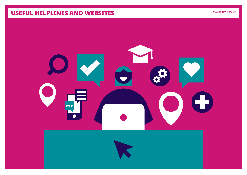# USEFUL HELPLINES AND WEBSITES STAYING AND Staying safe in the UK



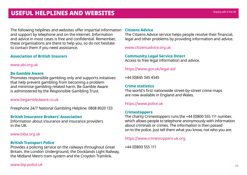The following helplines and websites offer impartial information and support by telephone and on the internet. Information and advice in most cases is free and confidential. Remember, these organisations are there to help you, so do not hesitate to contact them if you need assistance.

#### **Association of British Insurers**

#### [www.abi.org.uk](http://www.abi.org.uk)

#### **Be Gamble Aware**

Promotes responsible gambling only and supports initiatives that help prevent gambling from becoming a problem and minimise gambling-related harm. Be Gamble Aware is administered by the Responsible Gambling Trust.

#### [www.begambleaware.co.uk](http://www.begambleaware.co.uk)

Freephone 24/7 National Gambling Helpline: 0808 8020 133

#### **British Insurance Brokers' Association**

Information about insurance and insurance providers  $in$  the  $IJK$ 

#### [www.biba.org.uk](http://www.biba.org.uk)

#### **British Transport Police**

Provides a policing service on the railways throughout Great Britain, the London Underground, the Docklands Light Railway, the Midland Metro tram system and the Croydon Tramlink.

#### **Citizens Advice**

The Citizens Advice service helps people resolve their financial, legal and other problems by providing information and advice.

#### [www.citizensadvice.org.uk](http://www.citizensadvice.org.uk)

**Community Legal Service Direct** Access to free legal information and advice.

### <https://www.gov.uk/legal-aid>

+44 (0)845 345 4345

#### **Crime statistics**

The world's first nationwide street-by-street crime maps are now available in England and Wales.

#### <https://www.police.uk>

#### **Crimestoppers**

The charity Crimestoppers runs the +44 (0)800 555 111 number, which allows people to telephone anonymously with information about criminals or crimes. The information is then passed on to the police. Just tell them what you know, not who you are.

#### <https://www.crimestoppers-uk.org>

+44 (0)800 555 111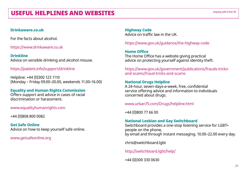#### **Drinkaware.co.uk**

For the facts about alcohol.

<https://www.drinkaware.co.uk>

**Drinkline** Advice on sensible drinking and alcohol misuse.

### <https://patient.info/support/drinkline>

Helpline: +44 (0)300 123 1110 (Monday – Friday 09.00–20.00, weekends 11.00–16.00)

#### **Equality and Human Rights Commission** Offers support and advice in cases of racial discrimination or harassment.

[www.equalityhumanrights.com](http://www.equalityhumanrights.com)

+44 (0)808 800 0082

**Get Safe Online** Advice on how to keep yourself safe online.

[www.getsafeonline.org](http://www.getsafeonline.org)

**Highway Code** Advice on traffic law in the UK.

<https://www.gov.uk/guidance/the-highway-code>

**Home Office** The Home Office has a website giving practical advice on protecting yourself against identity theft.

[https://www.gov.uk/government/publications/frauds-tricks](https://www.gov.uk/government/publications/frauds-tricks-and-scams/fraud-tricks-and-scams)[and-scams/fraud-tricks-and-scams](https://www.gov.uk/government/publications/frauds-tricks-and-scams/fraud-tricks-and-scams)

#### **National Drugs Helpline**

A 24-hour, seven-days-a-week, free, confidential service offering advice and information to individuals concerned about drugs.

[www.urban75.com/Drugs/helpline.html](http://www.urban75.com/Drugs/helpline.html)

+44 (0)800 77 66 00

### **National Lesbian and Gay Switchboard**

Switchboard provides a one-stop listening service for LGBT+ people on the phone, by email and through instant messaging. 10.00–22.00 every day.

chris@switchboard.lgbt

[http://switchboard.lgbt/help/](https://switchboard.lgbt/help/)

+44 (0)300 330 0630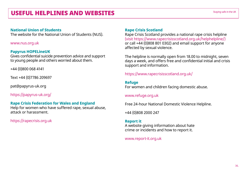#### **National Union of Students**

The website for the National Union of Students (NUS).

#### [www.nus.org.uk](http://www.nus.org.uk)

#### **Papyrus HOPELineUK**

Gives confidential suicide prevention advice and support to young people and others worried about them.

+44 (0)800 068 4141

Text +44 (0)7786 209697

[pat@papyrus-uk.org](mailto:pat@papyrus-uk.org)

<https://papyrus-uk.org/>

#### **Rape Crisis Federation for Wales and England**

Help for women who have suffered rape, sexual abuse, attack or harassment.

<https://rapecrisis.org.uk>

#### **Rape Crisis Scotland**

Rape Crisis Scotland provides a national rape crisis helpline (visit [https://www.rapecrisisscotland.org.uk/helphelpline/](https://www.rapecrisisscotland.org.uk/help-helpline)) or call +44 (0)808 801 0302) and email support for anyone affected by sexual violence.

The helpline is normally open from 18.00 to midnight, seven days a week, and offers free and confidential initial and crisis support and information.

<https://www.rapecrisisscotland.org.uk/>

**Refuge** For women and children facing domestic abuse.

#### [www.refuge.org.uk](http://www.refuge.org.uk)

Free 24-hour National Domestic Violence Helpline.

+44 (0)808 2000 247

### **Report it**

A website giving information about hate crime or incidents and how to report it.

[www.report-it.org.uk](http://www.report-it.org.uk)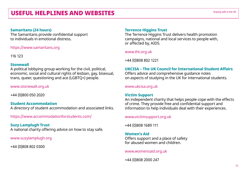### USEFUL HELPLINES AND WEBSITES STATES STAYING STAYIng safe in the UK

#### **Samaritans (24 hours)**

The Samaritans provide confidential support to individuals in emotional distress.

<https://www.samaritans.org>

116 123

#### **Stonewall**

A political lobbying group working for the civil, political, economic, social and cultural rights of lesbian, gay, bisexual, trans, queer, questioning and ace (LGBTQ+) people.

[www.stonewall.org.uk](http://www.stonewall.org.uk)

+44 (0)800 050 2020

**Student Accommodation** A directory of student accommodation and associated links.

<https://www.accommodationforstudents.com/>

**Suzy Lamplugh Trust** A national charity offering advice on how to stay safe.

[www.suzylamplugh.org](http://www.suzylamplugh.org)

+44 (0)808 802 0300

#### **Terrence Higgins Trust**

The Terrence Higgins Trust delivers health promotion campaigns, national and local services to people with, or affected by, AIDS.

[www.tht.org.uk](http://www.tht.org.uk)

+44 (0)808 802 1221

#### **UKCISA – The UK Council for International Student Affairs**

Offers advice and comprehensive guidance notes on aspects of studying in the UK for international students.

[www.ukcisa.org.uk](http://www.ukcisa.org.uk)

#### **Victim Support**

An independent charity that helps people cope with the effects of crime. They provide free and confidential support and information to help individuals deal with their experiences.

#### [www.victimsupport.org.uk](http://www.victimsupport.org.uk)

+44 (0)808 1689 111

#### **Women's Aid**

Offers support and a place of safety for abused women and children.

[www.womensaid.org.uk](http://www.womensaid.org.uk)

+44 (0)808 2000 247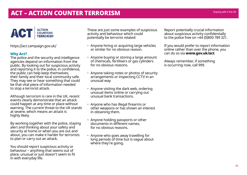### ACT – ACTION COUNTER TERRORISM Staying safe in the UK



<https://act.campaign.gov.uk/>

#### Why Act?

The police and the security and intelligence agencies depend on information from the public. By looking out for suspicious activity and reporting it to the police, in confidence, the public can help keep themselves, their family and their local community safe. They may see or hear something that could be that vital piece of information needed to stop a terrorist attack.

Although terrorism is rare in the UK, recent events clearly demonstrate that an attack could happen at any time or place without warning. The current threat to the UK stands at severe, which means an attack is highly likely.

By working together with the police, staying alert and thinking about your safety and security at home or when you are out and about, you can make it harder for terrorists to plan or carry out an attack.

You should report suspicious activity or behaviour – anything that seems out of place, unusual or just doesn't seem to fit in with everyday life.

These are just some examples of suspicious activity and behaviour which could potentially be terrorist related:

- Anyone hiring or acquiring large vehicles or similar for no obvious reason.
- Anyone buying or storing a large amount of chemicals, fertilisers or gas cylinders for no obvious reasons.
- Anyone taking notes or photos of security arrangements or inspecting CCTV in an unusual way.
- Anyone visiting the dark web, ordering unusual items online or carrying out unusual bank transactions.
- Anyone who has illegal firearms or other weapons or has shown an interest in obtaining them.
- Anyone holding passports or other documents in different names, for no obvious reasons.
- Anyone who goes away travelling for long periods of time but is vague about where they're going.

Report potentially crucial information about suspicious activity confidentially to the police free on +44 (0)800 789 321.

If you would prefer to report information online rather than over the phone, you can do so via **[www.gov.uk/act](http://www.gov.uk/act)**

Always remember, if something is occurring now, call 999.